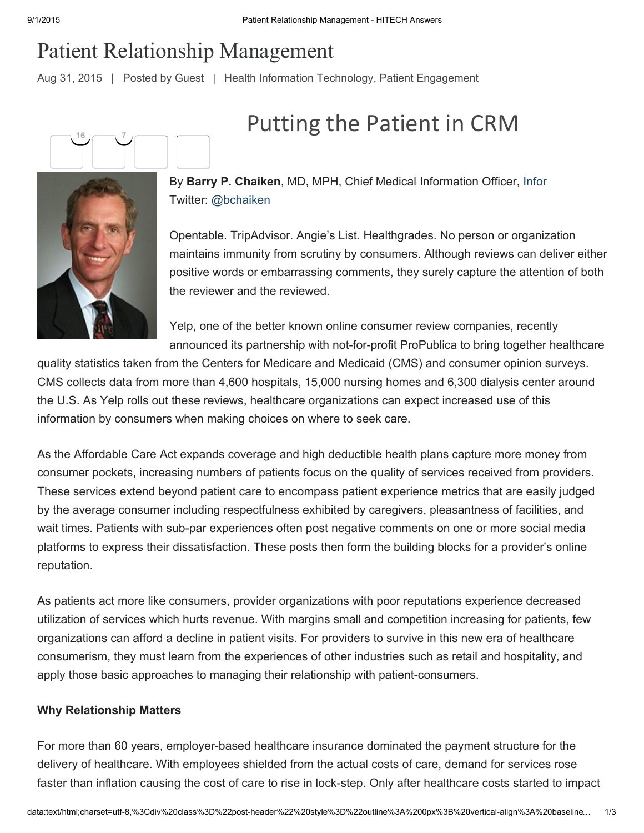## Patient Relationship Management

Aug 31, 2015 | Posted by [Guest](http://www.hitechanswers.net/author/guest/) | [Health Information Technology,](http://www.hitechanswers.net/category/hit/) [Patient Engagement](http://www.hitechanswers.net/category/patient-engagement/)





By Barry P. Chaiken, MD, MPH, Chief Medical Information Officer, [Infor](http://www.infor.com/) Twitter: [@bchaiken](https://twitter.com/bchaiken)

Opentable. TripAdvisor. Angie's List. Healthgrades. No person or organization maintains immunity from scrutiny by consumers. Although reviews can deliver either positive words or embarrassing comments, they surely capture the attention of both the reviewer and the reviewed.

Putting the Patient in CRM

Yelp, one of the better known online consumer review companies, recently announced its partnership with not-for-profit ProPublica to bring together healthcare

quality statistics taken from the Centers for Medicare and Medicaid (CMS) and consumer opinion surveys. CMS collects data from more than 4,600 hospitals, 15,000 nursing homes and 6,300 dialysis center around the U.S. As Yelp rolls out these reviews, healthcare organizations can expect increased use of this information by consumers when making choices on where to seek care.

As the Affordable Care Act expands coverage and high deductible health plans capture more money from consumer pockets, increasing numbers of patients focus on the quality of services received from providers. These services extend beyond patient care to encompass patient experience metrics that are easily judged by the average consumer including respectfulness exhibited by caregivers, pleasantness of facilities, and wait times. Patients with sub-par experiences often post negative comments on one or more social media platforms to express their dissatisfaction. These posts then form the building blocks for a provider's online reputation.

As patients act more like consumers, provider organizations with poor reputations experience decreased utilization of services which hurts revenue. With margins small and competition increasing for patients, few organizations can afford a decline in patient visits. For providers to survive in this new era of healthcare consumerism, they must learn from the experiences of other industries such as retail and hospitality, and apply those basic approaches to managing their relationship with patient-consumers.

## Why Relationship Matters

For more than 60 years, employer-based healthcare insurance dominated the payment structure for the delivery of healthcare. With employees shielded from the actual costs of care, demand for services rose faster than inflation causing the cost of care to rise in lock-step. Only after healthcare costs started to impact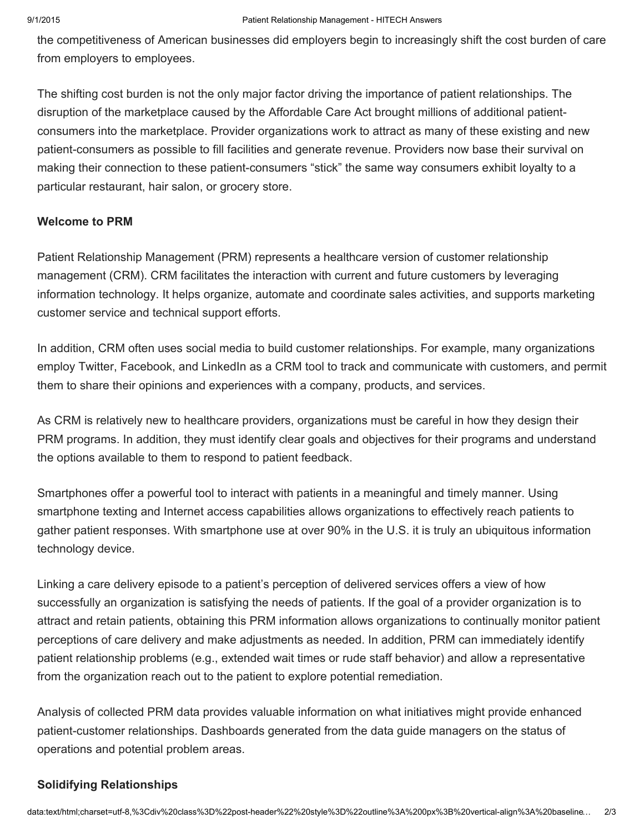the competitiveness of American businesses did employers begin to increasingly shift the cost burden of care from employers to employees.

The shifting cost burden is not the only major factor driving the importance of patient relationships. The disruption of the marketplace caused by the Affordable Care Act brought millions of additional patientconsumers into the marketplace. Provider organizations work to attract as many of these existing and new patient-consumers as possible to fill facilities and generate revenue. Providers now base their survival on making their connection to these patient-consumers "stick" the same way consumers exhibit loyalty to a particular restaurant, hair salon, or grocery store.

## Welcome to PRM

Patient Relationship Management (PRM) represents a healthcare version of customer relationship management (CRM). CRM facilitates the interaction with current and future customers by leveraging information technology. It helps organize, automate and coordinate sales activities, and supports marketing customer service and technical support efforts.

In addition, CRM often uses social media to build customer relationships. For example, many organizations employ Twitter, Facebook, and LinkedIn as a CRM tool to track and communicate with customers, and permit them to share their opinions and experiences with a company, products, and services.

As CRM is relatively new to healthcare providers, organizations must be careful in how they design their PRM programs. In addition, they must identify clear goals and objectives for their programs and understand the options available to them to respond to patient feedback.

Smartphones offer a powerful tool to interact with patients in a meaningful and timely manner. Using smartphone texting and Internet access capabilities allows organizations to effectively reach patients to gather patient responses. With smartphone use at over 90% in the U.S. it is truly an ubiquitous information technology device.

Linking a care delivery episode to a patient's perception of delivered services offers a view of how successfully an organization is satisfying the needs of patients. If the goal of a provider organization is to attract and retain patients, obtaining this PRM information allows organizations to continually monitor patient perceptions of care delivery and make adjustments as needed. In addition, PRM can immediately identify patient relationship problems (e.g., extended wait times or rude staff behavior) and allow a representative from the organization reach out to the patient to explore potential remediation.

Analysis of collected PRM data provides valuable information on what initiatives might provide enhanced patient-customer relationships. Dashboards generated from the data guide managers on the status of operations and potential problem areas.

## Solidifying Relationships